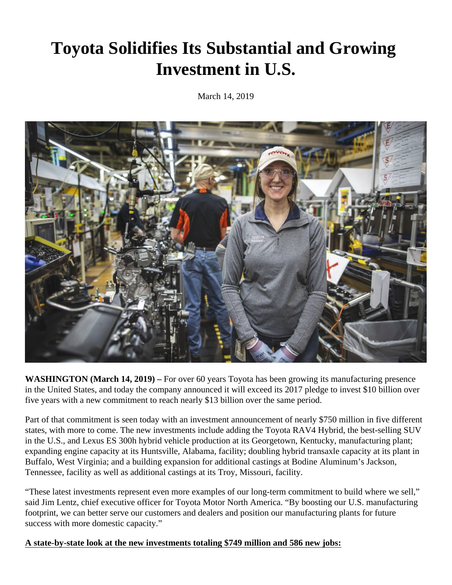# **Toyota Solidifies Its Substantial and Growing Investment in U.S.**

March 14, 2019



**WASHINGTON (March 14, 2019) –** For over 60 years Toyota has been growing its manufacturing presence in the United States, and today the company announced it will exceed its 2017 pledge to invest \$10 billion over five years with a new commitment to reach nearly \$13 billion over the same period.

Part of that commitment is seen today with an investment announcement of nearly \$750 million in five different states, with more to come. The new investments include adding the Toyota RAV4 Hybrid, the best-selling SUV in the U.S., and Lexus ES 300h hybrid vehicle production at its Georgetown, Kentucky, manufacturing plant; expanding engine capacity at its Huntsville, Alabama, facility; doubling hybrid transaxle capacity at its plant in Buffalo, West Virginia; and a building expansion for additional castings at Bodine Aluminum's Jackson, Tennessee, facility as well as additional castings at its Troy, Missouri, facility.

"These latest investments represent even more examples of our long-term commitment to build where we sell," said Jim Lentz, chief executive officer for Toyota Motor North America. "By boosting our U.S. manufacturing footprint, we can better serve our customers and dealers and position our manufacturing plants for future success with more domestic capacity."

# **A state-by-state look at the new investments totaling \$749 million and 586 new jobs:**